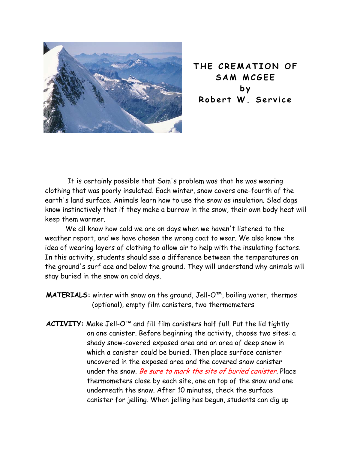

**THE CREMATION OF SAM MCGEE by Robert W. Service** 

It is certainly possible that Sam's problem was that he was wearing clothing that was poorly insulated. Each winter, snow covers one-fourth of the earth's land surface. Animals learn how to use the snow as insulation. Sled dogs know instinctively that if they make a burrow in the snow, their own body heat will keep them warmer.

We all know how cold we are on days when we haven't listened to the weather report, and we have chosen the wrong coat to wear. We also know the idea of wearing layers of clothing to allow air to help with the insulating factors. In this activity, students should see a difference between the temperatures on the ground's surf ace and below the ground. They will understand why animals will stay buried in the snow on cold days.

**MATERIALS:** winter with snow on the ground, Jell-O™, boiling water, thermos (optional), empty film canisters, two thermometers

**ACTIVITY:** Make Jell-O™ and fill film canisters half full. Put the lid tightly on one canister. Before beginning the activity, choose two sites: a shady snow-covered exposed area and an area of deep snow in which a canister could be buried. Then place surface canister uncovered in the exposed area and the covered snow canister under the snow. Be sure to mark the site of buried canister. Place thermometers close by each site, one on top of the snow and one underneath the snow. After 10 minutes, check the surface canister for jelling. When jelling has begun, students can dig up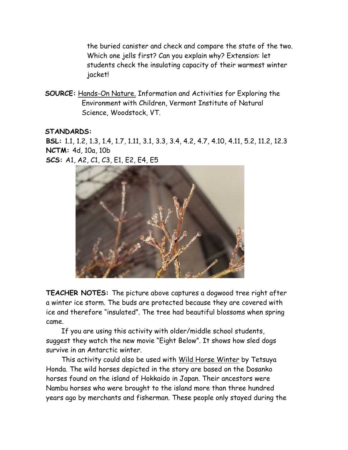the buried canister and check and compare the state of the two. Which one jells first? Can you explain why? Extension: let students check the insulating capacity of their warmest winter jacket!

**SOURCE:** Hands-On Nature. Information and Activities for Exploring the Environment with Children, Vermont Institute of Natural Science, Woodstock, VT.

## **STANDARDS:**

**BSL:** 1.1, 1.2, 1.3, 1.4, 1.7, 1.11, 3.1, 3.3, 3.4, 4.2, 4.7, 4.10, 4.11, 5.2, 11.2, 12.3 **NCTM:** 4d, 10a, 10b **SCS:** A1, A2, C1, C3, E1, E2, E4, E5



**TEACHER NOTES:** The picture above captures a dogwood tree right after a winter ice storm. The buds are protected because they are covered with ice and therefore "insulated". The tree had beautiful blossoms when spring came.

If you are using this activity with older/middle school students, suggest they watch the new movie "Eight Below". It shows how sled dogs survive in an Antarctic winter.

This activity could also be used with Wild Horse Winter by Tetsuya Honda. The wild horses depicted in the story are based on the Dosanko horses found on the island of Hokkaido in Japan. Their ancestors were Nambu horses who were brought to the island more than three hundred years ago by merchants and fisherman. These people only stayed during the